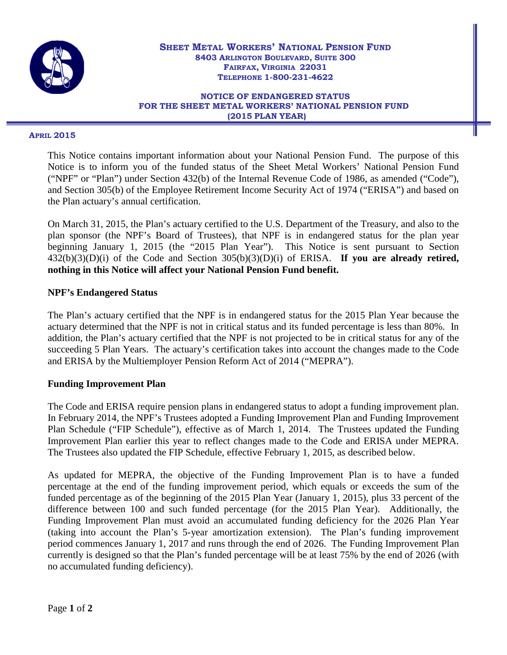

#### **NOTICE OF ENDANGERED STATUS FOR THE SHEET METAL WORKERS' NATIONAL PENSION FUND (2015 PLAN YEAR)**

#### **APRIL 2015**

This Notice contains important information about your National Pension Fund. The purpose of this Notice is to inform you of the funded status of the Sheet Metal Workers' National Pension Fund ("NPF" or "Plan") under Section 432(b) of the Internal Revenue Code of 1986, as amended ("Code"), and Section 305(b) of the Employee Retirement Income Security Act of 1974 ("ERISA") and based on the Plan actuary's annual certification.

On March 31, 2015, the Plan's actuary certified to the U.S. Department of the Treasury, and also to the plan sponsor (the NPF's Board of Trustees), that NPF is in endangered status for the plan year beginning January 1, 2015 (the "2015 Plan Year"). This Notice is sent pursuant to Section 432(b)(3)(D)(i) of the Code and Section 305(b)(3)(D)(i) of ERISA. **If you are already retired, nothing in this Notice will affect your National Pension Fund benefit.** 

### **NPF's Endangered Status**

The Plan's actuary certified that the NPF is in endangered status for the 2015 Plan Year because the actuary determined that the NPF is not in critical status and its funded percentage is less than 80%. In addition, the Plan's actuary certified that the NPF is not projected to be in critical status for any of the succeeding 5 Plan Years. The actuary's certification takes into account the changes made to the Code and ERISA by the Multiemployer Pension Reform Act of 2014 ("MEPRA").

### **Funding Improvement Plan**

The Code and ERISA require pension plans in endangered status to adopt a funding improvement plan. In February 2014, the NPF's Trustees adopted a Funding Improvement Plan and Funding Improvement Plan Schedule ("FIP Schedule"), effective as of March 1, 2014. The Trustees updated the Funding Improvement Plan earlier this year to reflect changes made to the Code and ERISA under MEPRA. The Trustees also updated the FIP Schedule, effective February 1, 2015, as described below.

As updated for MEPRA, the objective of the Funding Improvement Plan is to have a funded percentage at the end of the funding improvement period, which equals or exceeds the sum of the funded percentage as of the beginning of the 2015 Plan Year (January 1, 2015), plus 33 percent of the difference between 100 and such funded percentage (for the 2015 Plan Year). Additionally, the Funding Improvement Plan must avoid an accumulated funding deficiency for the 2026 Plan Year (taking into account the Plan's 5-year amortization extension). The Plan's funding improvement period commences January 1, 2017 and runs through the end of 2026. The Funding Improvement Plan currently is designed so that the Plan's funded percentage will be at least 75% by the end of 2026 (with no accumulated funding deficiency).